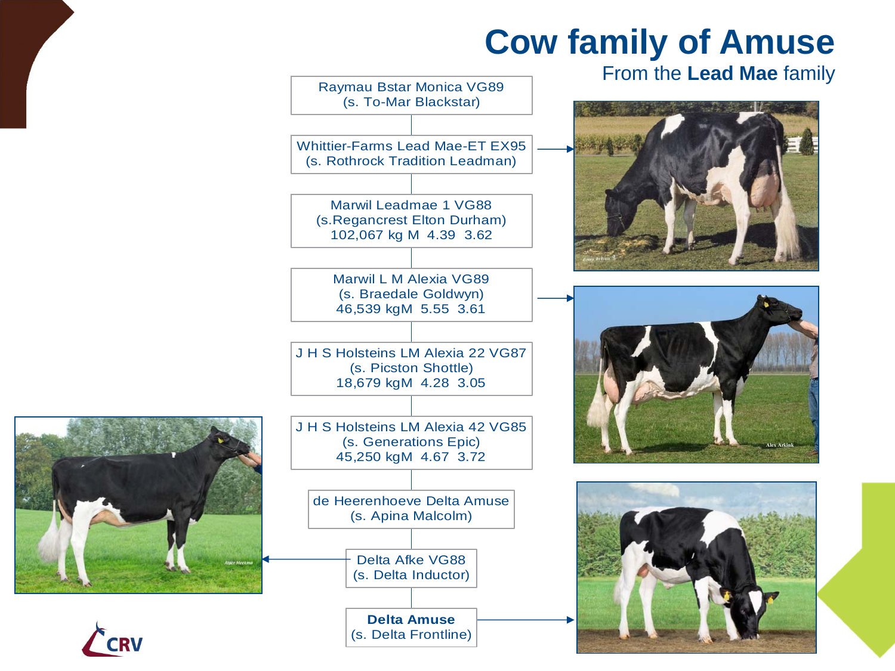## **Cow family of Amuse**





CRV